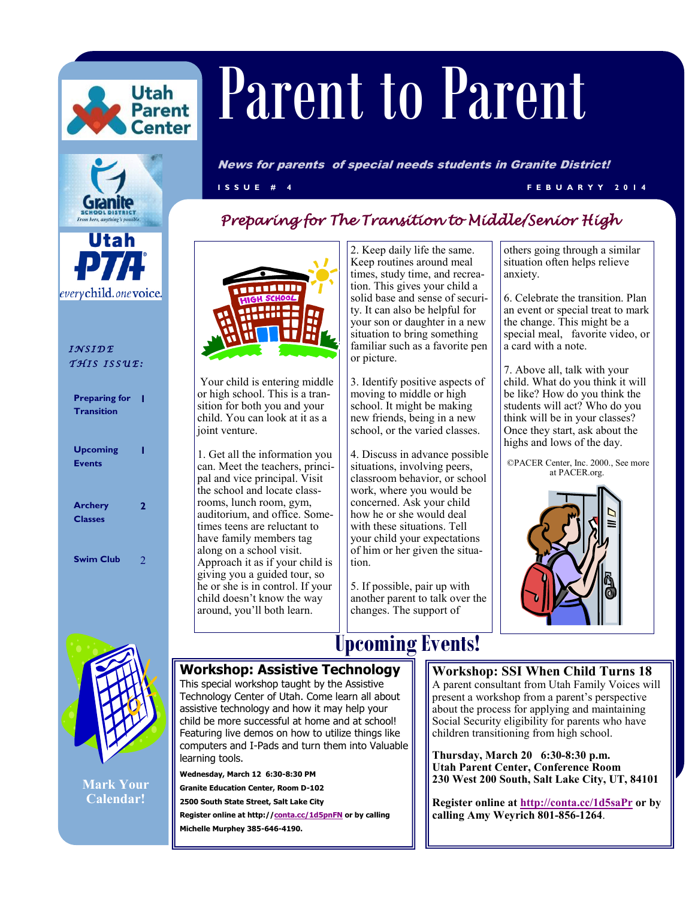



everychild.onevoice.

*I N S I D E T H I S I S S U E :* 

| <b>Preparing for</b><br><b>Transition</b> |   |
|-------------------------------------------|---|
| <b>Upcoming</b><br><b>Events</b>          |   |
| <b>Archery</b><br><b>Classes</b>          | 2 |
| Swim Club                                 |   |

# HIGH SCHOOL

Your child is entering middle or high school. This is a transition for both you and your child. You can look at it as a joint venture.

1. Get all the information you can. Meet the teachers, principal and vice principal. Visit the school and locate classrooms, lunch room, gym, auditorium, and office. Sometimes teens are reluctant to have family members tag along on a school visit. Approach it as if your child is giving you a guided tour, so he or she is in control. If your child doesn't know the way around, you'll both learn.

2. Keep daily life the same. Keep routines around meal times, study time, and recreation. This gives your child a solid base and sense of security. It can also be helpful for your son or daughter in a new situation to bring something familiar such as a favorite pen or picture.

3. Identify positive aspects of moving to middle or high school. It might be making new friends, being in a new school, or the varied classes.

4. Discuss in advance possible situations, involving peers, classroom behavior, or school work, where you would be concerned. Ask your child how he or she would deal with these situations. Tell your child your expectations of him or her given the situation.

5. If possible, pair up with another parent to talk over the changes. The support of

others going through a similar situation often helps relieve anxiety.

6. Celebrate the transition. Plan an event or special treat to mark the change. This might be a special meal, favorite video, or a card with a note.

7. Above all, talk with your child. What do you think it will be like? How do you think the students will act? Who do you think will be in your classes? Once they start, ask about the highs and lows of the day.

©PACER Center, Inc. 2000., See more at PACER.org.





**Mark Your Calendar!**

## **Upcoming Events!**

#### **Workshop: Assistive Technology**

This special workshop taught by the Assistive Technology Center of Utah. Come learn all about assistive technology and how it may help your child be more successful at home and at school! Featuring live demos on how to utilize things like computers and I-Pads and turn them into Valuable learning tools.

**Wednesday, March 12 6:30-8:30 PM** 

**Granite Education Center, Room D-102**

**2500 South State Street, Salt Lake City**

**Register online at http://<conta.cc/1d5pnFN> or by calling Michelle Murphey 385-646-4190.**

#### **Workshop: SSI When Child Turns 18**

A parent consultant from Utah Family Voices will present a workshop from a parent's perspective about the process for applying and maintaining Social Security eligibility for parents who have children transitioning from high school.

**Thursday, March 20 6:30-8:30 p.m. Utah Parent Center, Conference Room 230 West 200 South, Salt Lake City, UT, 84101**

**Register online at <http://conta.cc/1d5saPr> or by calling Amy Weyrich 801-856-1264**.

#### *Preparing for The Transition to Middle/Senior High*

News for parents of special needs students in Granite District!

**I S S U E # 4 F E B U A R Y Y 2 0 1 4**